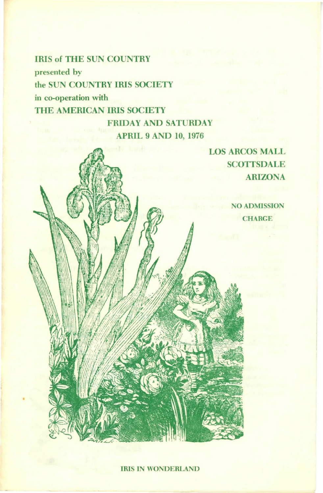IRIS of THE SUN COUNTRY presented by the SUN COUNTRY IRIS SOCIETY in co-operation with THE AMERICAN IRIS SOCIETY FRIDAY AND SATURDAY

APRIL 9 AND 10, 1976

LOS ARCOS MALL **SCOTTSDALE** ARIZONA

> NO ADMISSION **CHARGE**

IRIS IN WONDERLAND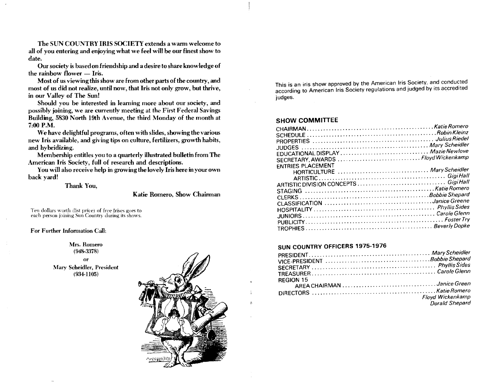The SUN COUNTRY IRIS SOCIETY extends a warm welcome to all of you entering and enjoying what we feel will be our finest show to date.

Our society is based on friendship and a desire to share knowledge of the rainbow flower — Iris.

Most of us viewing this show are from other parts of the country, and most of us did not realize, until now, that Iris not only grow, but thrive, in our Valley of The Sun!

Should you be interested in learning more about our society, and possibly joining, we are currently meeting at the First Federal Savings Building, 5830 North 19th Avenue, the third Monday of the month at 7.00 P.M.

We have delightful programs, often with slides, showing the various new Iris available, and giving tips on culture, fertilizers, growth habits, and hybridizing.

Membership entitles you to a quarterly illustrated bullet in from The American Iris Society, full of research and descriptions.

You will also receive help in growing the lovely Iris here in your own back yard!

Thank You,

Katie Romero, Show Chairman

Ten dollars worth (list price) of free Irises goes to each person joining Sun Country during its shows.

For Further Information Call:

Mrs. Romero  $(948 - 3378)$ or Mary Scheidler, President  $(934-1105)$ 



This is an iris show approved by the American Iris Society, and conducted according to American Iris Society regulations and judged by its accredited judges.

#### **SHOW COMMITTEE**

| EDUCATIONAL DISPLAY  Mazie Newlove  |  |
|-------------------------------------|--|
| SECRETARY, AWARDS  Floyd Wickenkamp |  |
| <b>ENTRIES PLACEMENT</b>            |  |
| HORTICULTURE  Mary Scheidler        |  |
|                                     |  |
|                                     |  |
|                                     |  |
|                                     |  |
|                                     |  |
|                                     |  |
|                                     |  |
|                                     |  |
|                                     |  |
|                                     |  |

### SUN COUNTRY OFFICERS 1975-1976

| REGION 15 |                       |
|-----------|-----------------------|
|           |                       |
|           |                       |
|           |                       |
|           | Floyd Wickenkamp      |
|           | <b>Dorald Shepard</b> |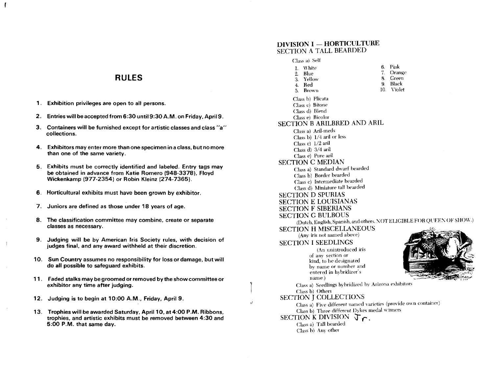## **RULES**

- 1. Exhibition privileges are open to all persons.
- 2. Entries will be accepted from 6:30 untiI9:30A.M. on Friday, April9.
- 3. Containers will be furnished except for artistic classes and class "a" collections.
- 4. Exhibitors may enter more than one specimen in a class, but no more than one of the same variety.
- 5. Exhibits must be correctly identified and labeled. Entry tags may be obtained in advance from Katie Romero (948-3378), Floyd Wickenkamp (977-2354) or Robin Kleinz (274-7365).
- 6. Horticultural exhibits must have been grown by exhibitor.
- 7. Juniors are defined as those under 18 years of age.
- 8. The classification committee may combine, create or separate classes as necessary.
- 9. Judging will be by American Iris Society rules, with decision of judges final, and any award withheld at their discretion.
- 10. Sun Country assumes no responsibility for loss or damage, but will do all possible to safeguard exhibits.
- 11. Faded stalks may be groomed or removed by the show committee or exhibitor any time after judging.
- 12. Judging is to begin at 10:00 A.M., Friday, April 9.
- 13. Trophies will be awarded Saturday, April 10, at 4:00 P.M. Ribbons, trophies, and artistic exhibits must be removed between 4:30 and 5:00 P.M. that same day.

### DIVISION I - HORTICULTURE SECTION A TALL BEARDED

 $\begin{bmatrix} \phantom{-} & \phantom{-} \\ \phantom{-} & \phantom{-} \end{bmatrix}$ 

• .1

| Class a) Selt                                                   |                                                                        |
|-----------------------------------------------------------------|------------------------------------------------------------------------|
| <b>White</b><br>1.                                              | Pink<br>6.                                                             |
| Blue<br>2.                                                      | 7.<br>Orange                                                           |
| 3. Yellow                                                       | Green<br>8.                                                            |
| 4. Red                                                          | Black<br>9.                                                            |
| <b>Brown</b><br>5.                                              | 10.<br>Violet                                                          |
| Class b) Plicata                                                |                                                                        |
| Class c) Bitone                                                 |                                                                        |
| Class d) Blend                                                  |                                                                        |
| Class e) Bicolor                                                |                                                                        |
| SECTION B ARILBRED AND ARIL                                     |                                                                        |
| Class a) Aril-meds                                              |                                                                        |
| Class b) 1/4 aril or less                                       |                                                                        |
| Class $c)$ 1/2 aril                                             |                                                                        |
| Class d) 3/4 aril                                               |                                                                        |
| Class e) Pure aril                                              |                                                                        |
| <b>SECTION C MEDIAN</b>                                         |                                                                        |
| Class a) Standard dwarf bearded                                 |                                                                        |
| Class b) Border bearded                                         |                                                                        |
| Class c) Intermediate bearded                                   |                                                                        |
| Class d) Miniature tall bearded                                 |                                                                        |
| <b>SECTION D SPURIAS</b>                                        |                                                                        |
| <b>SECTION E LOUISIANAS</b>                                     |                                                                        |
| <b>SECTION F SIBERIANS</b>                                      |                                                                        |
|                                                                 |                                                                        |
| <b>SECTION G BULBOUS</b>                                        | (Dutch, English, Spanish, and others. NOT ELIGIBLE FOR QUEEN OF SHOW.) |
|                                                                 |                                                                        |
| <b>SECTION H MISCELLANEOUS</b>                                  |                                                                        |
| (Any iris not named above)                                      |                                                                        |
| <b>SECTION I SEEDLINGS</b>                                      |                                                                        |
| (An unintroduced iris                                           |                                                                        |
| of any section or                                               |                                                                        |
| kind, to be designated                                          |                                                                        |
| by name or number and                                           |                                                                        |
| entered in hybridizer's                                         |                                                                        |
| name.)                                                          |                                                                        |
| Class a) Seedlings hybridized by Arizona exhibitors             |                                                                        |
| Class b) Others                                                 |                                                                        |
| <b>SECTION J COLLECTIONS</b>                                    |                                                                        |
| Class a) Five different named varieties (provide own container) |                                                                        |
| Class b) Three different Dykes medal winners                    |                                                                        |
| SECTION K DIVISION<br>ΔĪ                                        |                                                                        |
| Class a) Tall bearded                                           |                                                                        |
| Class b) Any other                                              |                                                                        |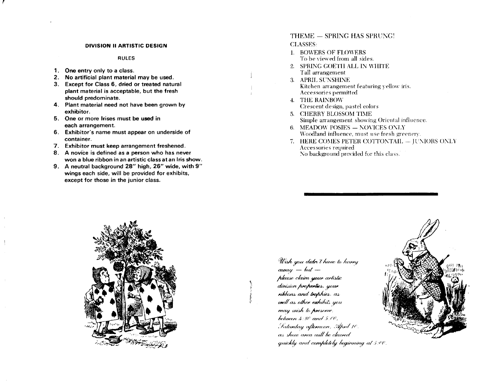#### DIVISION II ARTISTIC DESIGN

**RULES** 

- 1. One entry only to a class.
- 2. No artificial plant material may be used.
- 3. Except for Class 6, dried or treated natural plant material is acceptable, but the fresh should predominate.
- 4. Plant material need not have been grown by exhibitor.
- 5. One or more Irises must be used in each arrangement.
- 6. Exhibitor's name must appear on underside of container.
- 7. Exhibitor must keep arrangement freshened.
- 8. A novice is defined as a person who has never won a blue ribbon in an artistic class at an Iris show.
- 9. A neutral background 28" high, 26" wide, with 9" wings each side, will be provided for exhibits, except for those in the junior class.

## THEME - SPRING HAS SPRUNG! **CLASSES:**

- 1. BOWERS OF FLOWERS To be viewed from all sides.
- 2. SPRING GOETH ALL IN WHITE Tall arrangement
- 3. APRIL SUNSHINE Kitchen arrangement featuring yellow iris. Accessories permitted
- **4. THE RAINBOW** Crescent design, pastel colors
- 5. CHERRY BLOSSOM TIME Simple arrangement showing Oriental influence.
- 6. MEADOW POSIES NOVICES ONLY Woodland influence, must use fresh greenery.
- 7. HERE COMES PETER COTTONTAIL JUNIORS ONLY Accessories required No background provided for this class.



Wish you didn't have to hurry  $away - but$ please claim your artistic division properties, your ribbons and trophies. as well as other exhibits you may wish to preserve. between  $4.30$  and  $5.00$ , Saturday afternoon, April 10. as show area will be cleared quickly and completely beginning at 5:00.

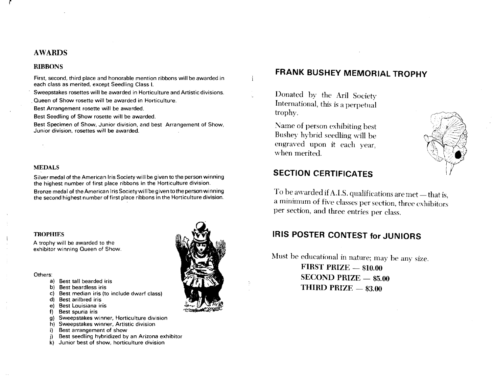## AWARDS

#### RIBBONS

First, second, third place and honorable mention ribbons will be awarded in each class as merited, except Seedling Class L.

Sweepstakes rosettes will be awarded in Horticulture and Artistic divisions .

. Queen of Show rosette will be awarded in Horticulture.

Best Arrangement rosette will be awarded.

Best Seedling of Show rosette will be awarded.

Best Specimen of Show, Junior division, and best Arrangement of Show, Junior division, rosettes will be awarded.

### MEDALS

Silver medal of the American Iris Society will be given to the person winning the highest number of first place ribbons in the Horticulture division.

Bronze medal of the American Iris Society will be given to the person winning the second highest number of first place ribbons in the Horticulture division.

#### **TROPHIES**

A trophy will be awarded to the exhibitor winning Queen of Show.

#### Others:

- a) Best tall bearded iris
- b) Best beardless iris
- c) Best median iris (to include dwarf class)
- d) Best arilbred iris
- e) Best Louisiana iris
- f) Best spuria iris
- g) Sweepstakes winner, Horticulture division
- h) Sweepstakes winner, Artistic division
- i) Best arrangement of show
- Best seedling hybridized by an Arizona exhibitor
- k) Junior best of show, horticulture division



## **FRANK BUSHEY MEMORIAL TROPHY**

Donated by the Aril Society International, this is a perpetual trophy.

Name of person exhibiting hest Bushey hybrid seedling will be engraved upon it each year, when merited.



## **SECTION CERTIFICATES**

To be awarded if A.I.S. qualifications are met - that is, a minimum of five classes per section, three exhibitors per section, and three entries per class.

# **IRIS POSTER CONTEST for JUNIORS**

Must be educational in nature; may be any size. FIRST PRIZE  $-$  \$10.00  $SECOND PRIZE = $5.00$ THIRD PRIZE  $-$  \$3.00